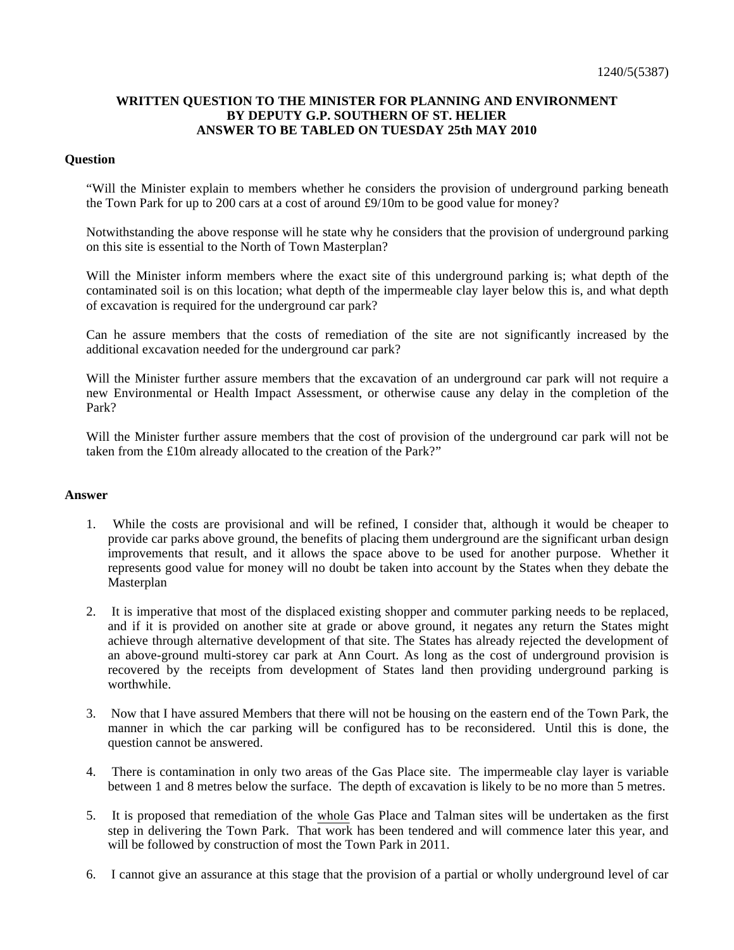## **WRITTEN QUESTION TO THE MINISTER FOR PLANNING AND ENVIRONMENT BY DEPUTY G.P. SOUTHERN OF ST. HELIER ANSWER TO BE TABLED ON TUESDAY 25th MAY 2010**

## **Question**

"Will the Minister explain to members whether he considers the provision of underground parking beneath the Town Park for up to 200 cars at a cost of around  $\text{\pounds}9/10m$  to be good value for money?

Notwithstanding the above response will he state why he considers that the provision of underground parking on this site is essential to the North of Town Masterplan?

Will the Minister inform members where the exact site of this underground parking is; what depth of the contaminated soil is on this location; what depth of the impermeable clay layer below this is, and what depth of excavation is required for the underground car park?

Can he assure members that the costs of remediation of the site are not significantly increased by the additional excavation needed for the underground car park?

Will the Minister further assure members that the excavation of an underground car park will not require a new Environmental or Health Impact Assessment, or otherwise cause any delay in the completion of the Park?

Will the Minister further assure members that the cost of provision of the underground car park will not be taken from the £10m already allocated to the creation of the Park?"

## **Answer**

- 1. While the costs are provisional and will be refined, I consider that, although it would be cheaper to provide car parks above ground, the benefits of placing them underground are the significant urban design improvements that result, and it allows the space above to be used for another purpose. Whether it represents good value for money will no doubt be taken into account by the States when they debate the Masterplan
- 2. It is imperative that most of the displaced existing shopper and commuter parking needs to be replaced, and if it is provided on another site at grade or above ground, it negates any return the States might achieve through alternative development of that site. The States has already rejected the development of an above-ground multi-storey car park at Ann Court. As long as the cost of underground provision is recovered by the receipts from development of States land then providing underground parking is worthwhile.
- 3. Now that I have assured Members that there will not be housing on the eastern end of the Town Park, the manner in which the car parking will be configured has to be reconsidered. Until this is done, the question cannot be answered.
- 4. There is contamination in only two areas of the Gas Place site. The impermeable clay layer is variable between 1 and 8 metres below the surface. The depth of excavation is likely to be no more than 5 metres.
- 5. It is proposed that remediation of the whole Gas Place and Talman sites will be undertaken as the first step in delivering the Town Park. That work has been tendered and will commence later this year, and will be followed by construction of most the Town Park in 2011.
- 6. I cannot give an assurance at this stage that the provision of a partial or wholly underground level of car